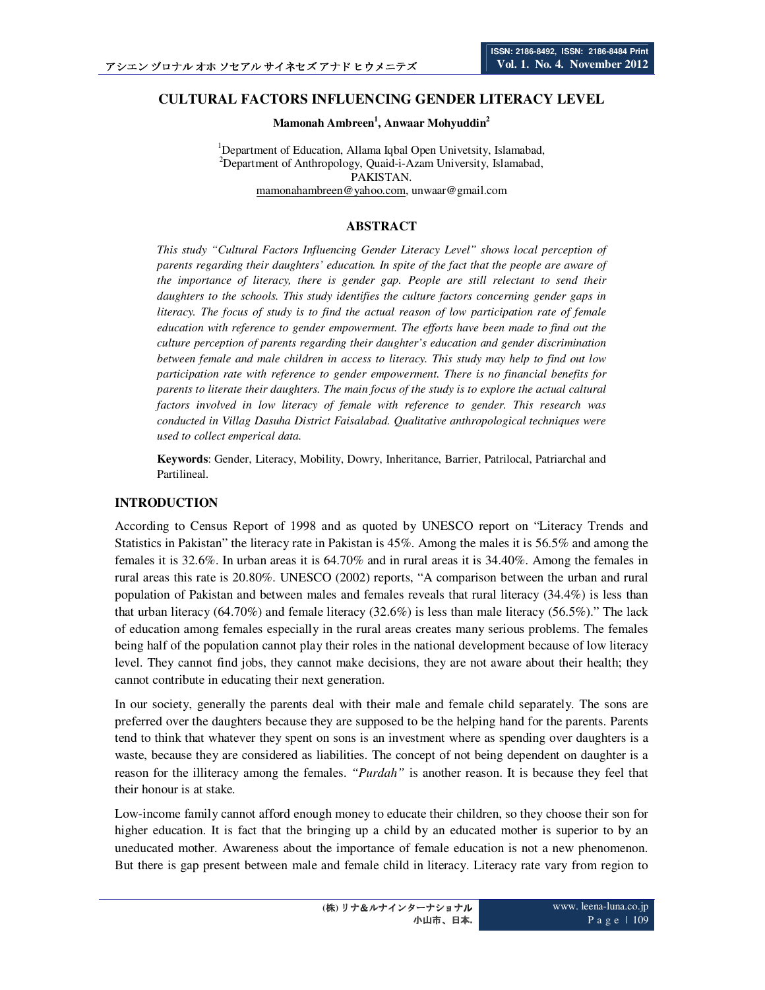# **CULTURAL FACTORS INFLUENCING GENDER LITERACY LEVEL**

**Mamonah Ambreen<sup>1</sup> , Anwaar Mohyuddin<sup>2</sup>**

<sup>1</sup>Department of Education, Allama Iqbal Open Univetsity, Islamabad, <sup>2</sup>Department of Anthropology, Quaid-i-Azam University, Islamabad, PAKISTAN. mamonahambreen@yahoo.com, unwaar@gmail.com

## **ABSTRACT**

*This study "Cultural Factors Influencing Gender Literacy Level" shows local perception of parents regarding their daughters' education. In spite of the fact that the people are aware of the importance of literacy, there is gender gap. People are still relectant to send their daughters to the schools. This study identifies the culture factors concerning gender gaps in literacy. The focus of study is to find the actual reason of low participation rate of female education with reference to gender empowerment. The efforts have been made to find out the culture perception of parents regarding their daughter's education and gender discrimination between female and male children in access to literacy. This study may help to find out low participation rate with reference to gender empowerment. There is no financial benefits for parents to literate their daughters. The main focus of the study is to explore the actual caltural factors involved in low literacy of female with reference to gender. This research was conducted in Villag Dasuha District Faisalabad. Qualitative anthropological techniques were used to collect emperical data.* 

**Keywords**: Gender, Literacy, Mobility, Dowry, Inheritance, Barrier, Patrilocal, Patriarchal and Partilineal.

#### **INTRODUCTION**

According to Census Report of 1998 and as quoted by UNESCO report on "Literacy Trends and Statistics in Pakistan" the literacy rate in Pakistan is 45%. Among the males it is 56.5% and among the females it is 32.6%. In urban areas it is 64.70% and in rural areas it is 34.40%. Among the females in rural areas this rate is 20.80%. UNESCO (2002) reports, "A comparison between the urban and rural population of Pakistan and between males and females reveals that rural literacy (34.4%) is less than that urban literacy (64.70%) and female literacy (32.6%) is less than male literacy (56.5%)." The lack of education among females especially in the rural areas creates many serious problems. The females being half of the population cannot play their roles in the national development because of low literacy level. They cannot find jobs, they cannot make decisions, they are not aware about their health; they cannot contribute in educating their next generation.

In our society, generally the parents deal with their male and female child separately. The sons are preferred over the daughters because they are supposed to be the helping hand for the parents. Parents tend to think that whatever they spent on sons is an investment where as spending over daughters is a waste, because they are considered as liabilities. The concept of not being dependent on daughter is a reason for the illiteracy among the females. *"Purdah"* is another reason. It is because they feel that their honour is at stake.

Low-income family cannot afford enough money to educate their children, so they choose their son for higher education. It is fact that the bringing up a child by an educated mother is superior to by an uneducated mother. Awareness about the importance of female education is not a new phenomenon. But there is gap present between male and female child in literacy. Literacy rate vary from region to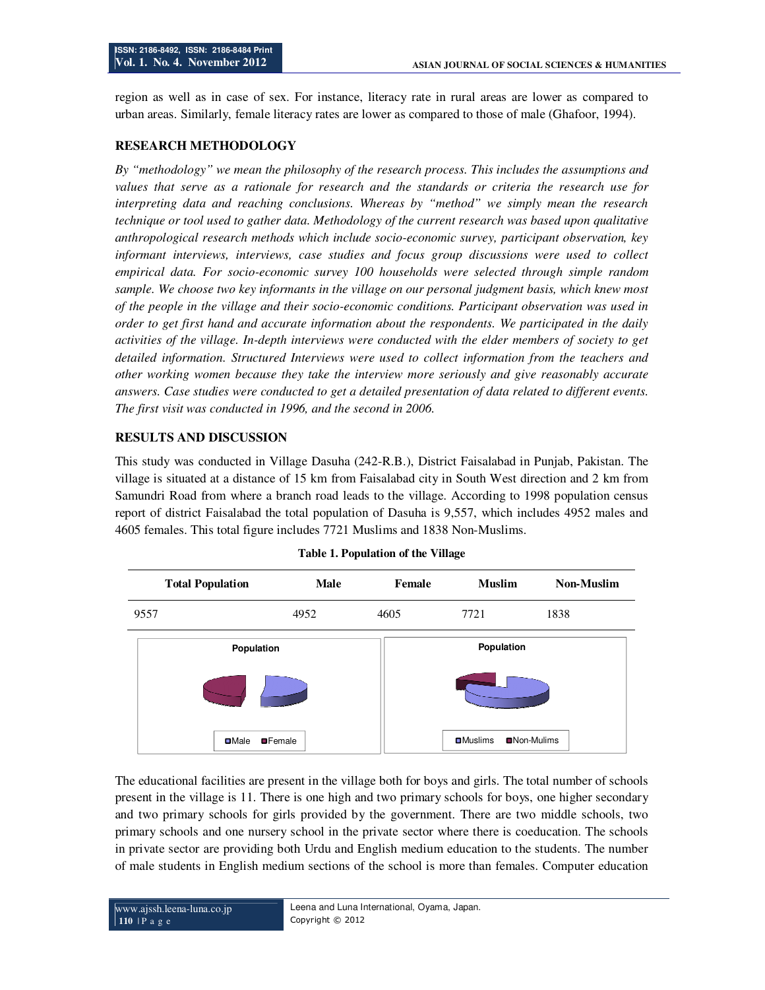region as well as in case of sex. For instance, literacy rate in rural areas are lower as compared to urban areas. Similarly, female literacy rates are lower as compared to those of male (Ghafoor, 1994).

## **RESEARCH METHODOLOGY**

*By "methodology" we mean the philosophy of the research process. This includes the assumptions and values that serve as a rationale for research and the standards or criteria the research use for interpreting data and reaching conclusions. Whereas by "method" we simply mean the research technique or tool used to gather data. Methodology of the current research was based upon qualitative anthropological research methods which include socio-economic survey, participant observation, key informant interviews, interviews, case studies and focus group discussions were used to collect empirical data. For socio-economic survey 100 households were selected through simple random sample. We choose two key informants in the village on our personal judgment basis, which knew most of the people in the village and their socio-economic conditions. Participant observation was used in order to get first hand and accurate information about the respondents. We participated in the daily activities of the village. In-depth interviews were conducted with the elder members of society to get detailed information. Structured Interviews were used to collect information from the teachers and other working women because they take the interview more seriously and give reasonably accurate answers. Case studies were conducted to get a detailed presentation of data related to different events. The first visit was conducted in 1996, and the second in 2006.* 

## **RESULTS AND DISCUSSION**

This study was conducted in Village Dasuha (242-R.B.), District Faisalabad in Punjab, Pakistan. The village is situated at a distance of 15 km from Faisalabad city in South West direction and 2 km from Samundri Road from where a branch road leads to the village. According to 1998 population census report of district Faisalabad the total population of Dasuha is 9,557, which includes 4952 males and 4605 females. This total figure includes 7721 Muslims and 1838 Non-Muslims.

| <b>Total Population</b> | <b>Male</b>     | Female | <b>Muslim</b>    | <b>Non-Muslim</b> |
|-------------------------|-----------------|--------|------------------|-------------------|
| 9557                    | 4952            | 4605   | 7721             | 1838              |
| Population              |                 |        | Population       |                   |
|                         |                 |        |                  |                   |
| <b>D</b> Male           | <b>OF</b> emale |        | <b>O</b> Muslims | ■Non-Mulims       |

|  |  | Table 1. Population of the Village |  |  |
|--|--|------------------------------------|--|--|
|--|--|------------------------------------|--|--|

The educational facilities are present in the village both for boys and girls. The total number of schools present in the village is 11. There is one high and two primary schools for boys, one higher secondary and two primary schools for girls provided by the government. There are two middle schools, two primary schools and one nursery school in the private sector where there is coeducation. The schools in private sector are providing both Urdu and English medium education to the students. The number of male students in English medium sections of the school is more than females. Computer education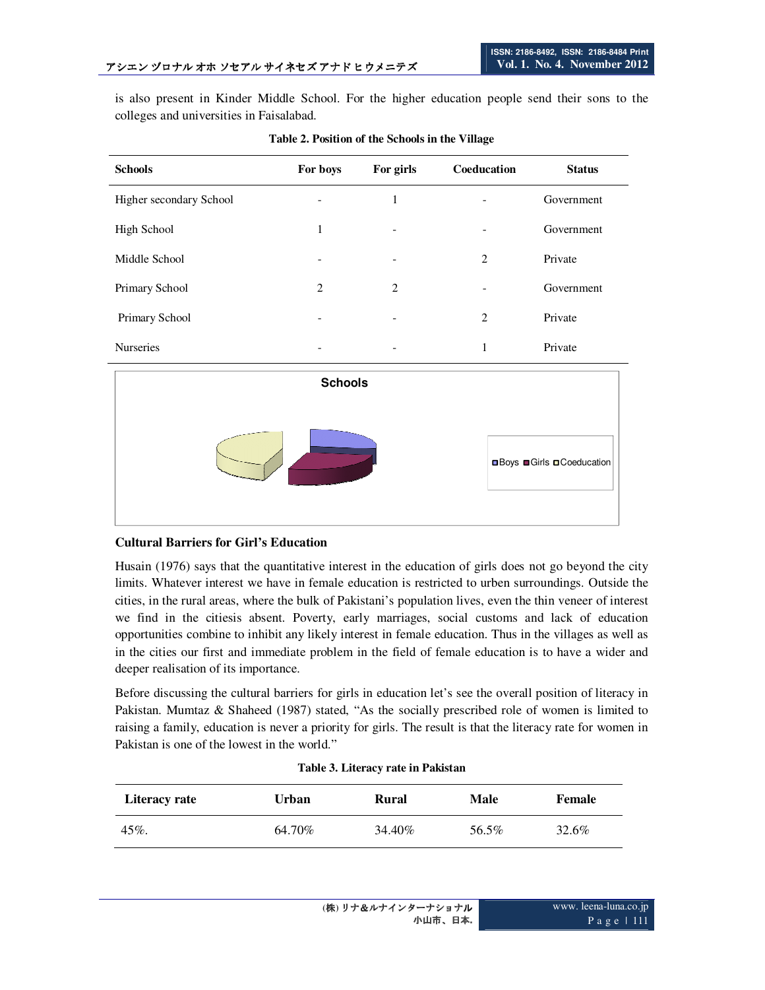is also present in Kinder Middle School. For the higher education people send their sons to the colleges and universities in Faisalabad.

| <b>Schools</b>          | For boys                         | For girls      | Coeducation    | <b>Status</b> |  |
|-------------------------|----------------------------------|----------------|----------------|---------------|--|
| Higher secondary School |                                  | 1              |                | Government    |  |
| <b>High School</b>      | $\mathbf{1}$                     |                |                | Government    |  |
| Middle School           |                                  |                | $\overline{2}$ | Private       |  |
| Primary School          | $\overline{2}$                   | $\overline{2}$ |                | Government    |  |
| Primary School          |                                  |                | $\overline{2}$ | Private       |  |
| Nurseries               |                                  |                | $\mathbf{1}$   | Private       |  |
| <b>Schools</b>          |                                  |                |                |               |  |
|                         |                                  |                |                |               |  |
|                         | <b>□Boys ■Girls □Coeducation</b> |                |                |               |  |

**Table 2. Position of the Schools in the Village** 

#### **Cultural Barriers for Girl's Education**

Husain (1976) says that the quantitative interest in the education of girls does not go beyond the city limits. Whatever interest we have in female education is restricted to urben surroundings. Outside the cities, in the rural areas, where the bulk of Pakistani's population lives, even the thin veneer of interest we find in the citiesis absent. Poverty, early marriages, social customs and lack of education opportunities combine to inhibit any likely interest in female education. Thus in the villages as well as in the cities our first and immediate problem in the field of female education is to have a wider and deeper realisation of its importance.

Before discussing the cultural barriers for girls in education let's see the overall position of literacy in Pakistan. Mumtaz & Shaheed (1987) stated, "As the socially prescribed role of women is limited to raising a family, education is never a priority for girls. The result is that the literacy rate for women in Pakistan is one of the lowest in the world."

| Literacy rate | Urban  | Rural   | Male  | Female |
|---------------|--------|---------|-------|--------|
| 45%           | 64.70% | 34.40\% | 56.5% | 32.6%  |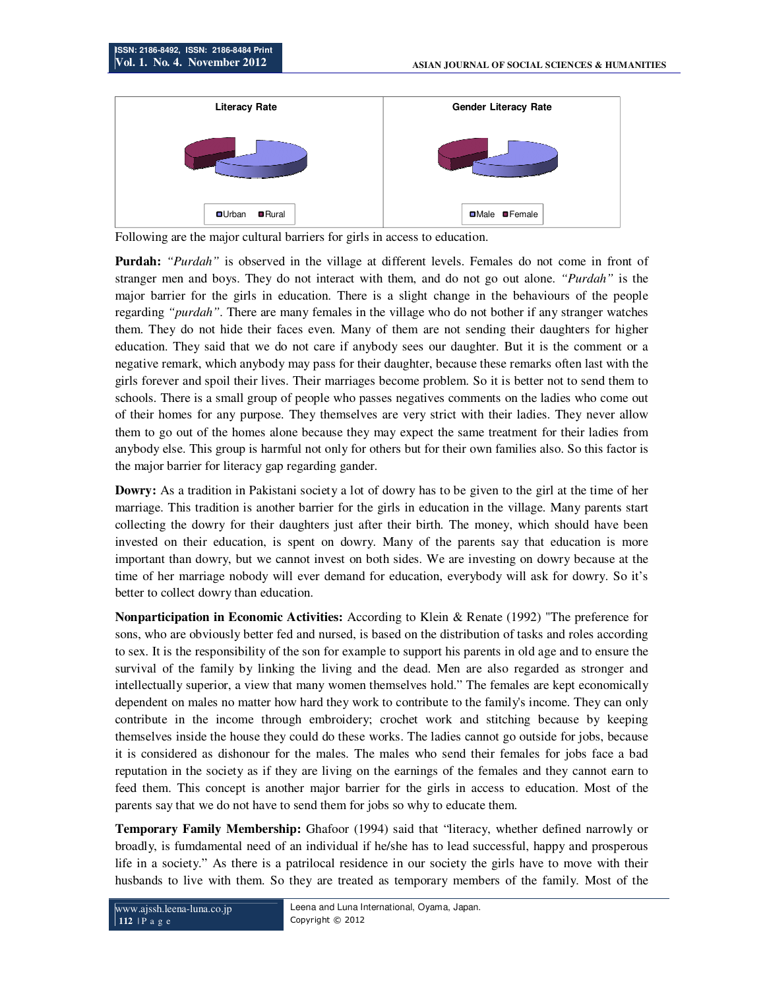

Following are the major cultural barriers for girls in access to education.

**Purdah:** *"Purdah"* is observed in the village at different levels. Females do not come in front of stranger men and boys. They do not interact with them, and do not go out alone. *"Purdah"* is the major barrier for the girls in education. There is a slight change in the behaviours of the people regarding *"purdah"*. There are many females in the village who do not bother if any stranger watches them. They do not hide their faces even. Many of them are not sending their daughters for higher education. They said that we do not care if anybody sees our daughter. But it is the comment or a negative remark, which anybody may pass for their daughter, because these remarks often last with the girls forever and spoil their lives. Their marriages become problem. So it is better not to send them to schools. There is a small group of people who passes negatives comments on the ladies who come out of their homes for any purpose. They themselves are very strict with their ladies. They never allow them to go out of the homes alone because they may expect the same treatment for their ladies from anybody else. This group is harmful not only for others but for their own families also. So this factor is the major barrier for literacy gap regarding gander.

**Dowry:** As a tradition in Pakistani society a lot of dowry has to be given to the girl at the time of her marriage. This tradition is another barrier for the girls in education in the village. Many parents start collecting the dowry for their daughters just after their birth. The money, which should have been invested on their education, is spent on dowry. Many of the parents say that education is more important than dowry, but we cannot invest on both sides. We are investing on dowry because at the time of her marriage nobody will ever demand for education, everybody will ask for dowry. So it's better to collect dowry than education.

**Nonparticipation in Economic Activities:** According to Klein & Renate (1992) "The preference for sons, who are obviously better fed and nursed, is based on the distribution of tasks and roles according to sex. It is the responsibility of the son for example to support his parents in old age and to ensure the survival of the family by linking the living and the dead. Men are also regarded as stronger and intellectually superior, a view that many women themselves hold." The females are kept economically dependent on males no matter how hard they work to contribute to the family's income. They can only contribute in the income through embroidery; crochet work and stitching because by keeping themselves inside the house they could do these works. The ladies cannot go outside for jobs, because it is considered as dishonour for the males. The males who send their females for jobs face a bad reputation in the society as if they are living on the earnings of the females and they cannot earn to feed them. This concept is another major barrier for the girls in access to education. Most of the parents say that we do not have to send them for jobs so why to educate them.

**Temporary Family Membership:** Ghafoor (1994) said that "literacy, whether defined narrowly or broadly, is fumdamental need of an individual if he/she has to lead successful, happy and prosperous life in a society." As there is a patrilocal residence in our society the girls have to move with their husbands to live with them. So they are treated as temporary members of the family. Most of the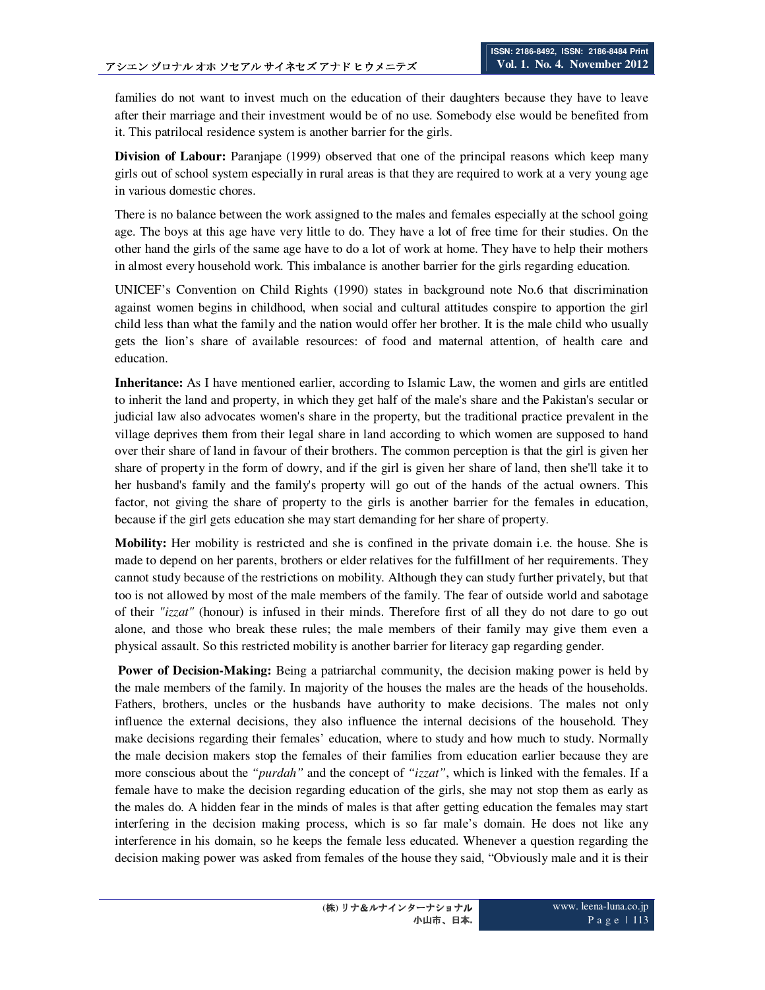families do not want to invest much on the education of their daughters because they have to leave after their marriage and their investment would be of no use. Somebody else would be benefited from it. This patrilocal residence system is another barrier for the girls.

**Division of Labour:** Paranjape (1999) observed that one of the principal reasons which keep many girls out of school system especially in rural areas is that they are required to work at a very young age in various domestic chores.

There is no balance between the work assigned to the males and females especially at the school going age. The boys at this age have very little to do. They have a lot of free time for their studies. On the other hand the girls of the same age have to do a lot of work at home. They have to help their mothers in almost every household work. This imbalance is another barrier for the girls regarding education.

UNICEF's Convention on Child Rights (1990) states in background note No.6 that discrimination against women begins in childhood, when social and cultural attitudes conspire to apportion the girl child less than what the family and the nation would offer her brother. It is the male child who usually gets the lion's share of available resources: of food and maternal attention, of health care and education.

**Inheritance:** As I have mentioned earlier, according to Islamic Law, the women and girls are entitled to inherit the land and property, in which they get half of the male's share and the Pakistan's secular or judicial law also advocates women's share in the property, but the traditional practice prevalent in the village deprives them from their legal share in land according to which women are supposed to hand over their share of land in favour of their brothers. The common perception is that the girl is given her share of property in the form of dowry, and if the girl is given her share of land, then she'll take it to her husband's family and the family's property will go out of the hands of the actual owners. This factor, not giving the share of property to the girls is another barrier for the females in education, because if the girl gets education she may start demanding for her share of property.

**Mobility:** Her mobility is restricted and she is confined in the private domain i.e. the house. She is made to depend on her parents, brothers or elder relatives for the fulfillment of her requirements. They cannot study because of the restrictions on mobility. Although they can study further privately, but that too is not allowed by most of the male members of the family. The fear of outside world and sabotage of their *"izzat"* (honour) is infused in their minds. Therefore first of all they do not dare to go out alone, and those who break these rules; the male members of their family may give them even a physical assault. So this restricted mobility is another barrier for literacy gap regarding gender.

**Power of Decision-Making:** Being a patriarchal community, the decision making power is held by the male members of the family. In majority of the houses the males are the heads of the households. Fathers, brothers, uncles or the husbands have authority to make decisions. The males not only influence the external decisions, they also influence the internal decisions of the household. They make decisions regarding their females' education, where to study and how much to study. Normally the male decision makers stop the females of their families from education earlier because they are more conscious about the *"purdah"* and the concept of *"izzat"*, which is linked with the females. If a female have to make the decision regarding education of the girls, she may not stop them as early as the males do. A hidden fear in the minds of males is that after getting education the females may start interfering in the decision making process, which is so far male's domain. He does not like any interference in his domain, so he keeps the female less educated. Whenever a question regarding the decision making power was asked from females of the house they said, "Obviously male and it is their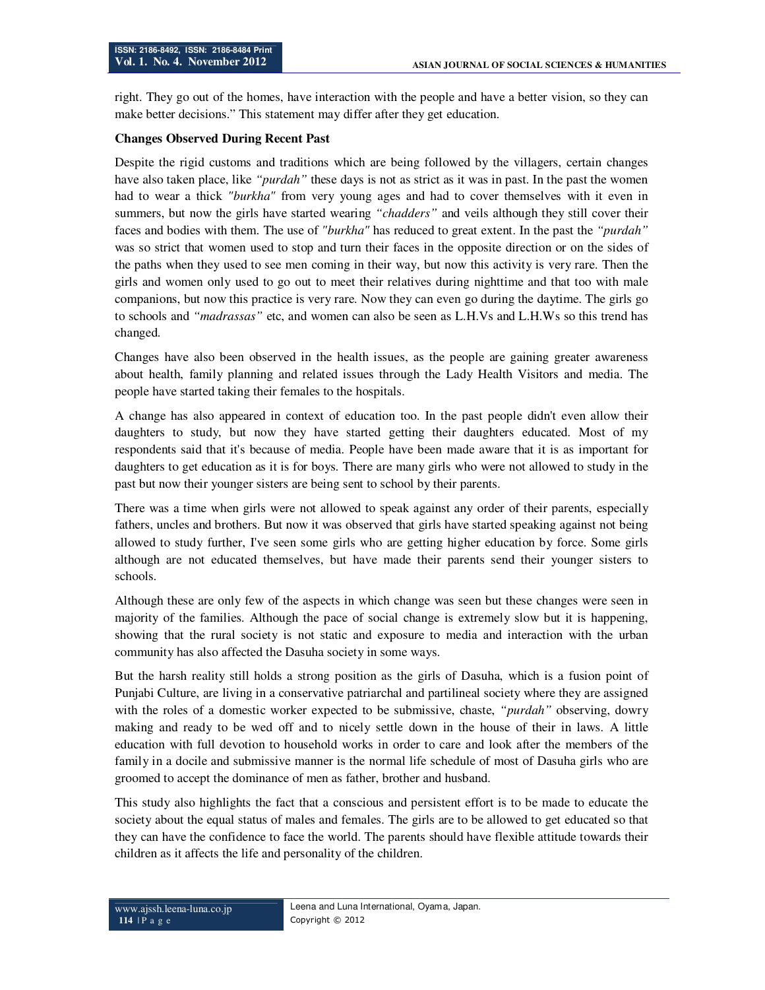right. They go out of the homes, have interaction with the people and have a better vision, so they can make better decisions." This statement may differ after they get education.

#### **Changes Observed During Recent Past**

Despite the rigid customs and traditions which are being followed by the villagers, certain changes have also taken place, like *"purdah"* these days is not as strict as it was in past. In the past the women had to wear a thick *"burkha"* from very young ages and had to cover themselves with it even in summers, but now the girls have started wearing *"chadders"* and veils although they still cover their faces and bodies with them. The use of *"burkha"* has reduced to great extent. In the past the *"purdah"* was so strict that women used to stop and turn their faces in the opposite direction or on the sides of the paths when they used to see men coming in their way, but now this activity is very rare. Then the girls and women only used to go out to meet their relatives during nighttime and that too with male companions, but now this practice is very rare. Now they can even go during the daytime. The girls go to schools and *"madrassas"* etc, and women can also be seen as L.H.Vs and L.H.Ws so this trend has changed.

Changes have also been observed in the health issues, as the people are gaining greater awareness about health, family planning and related issues through the Lady Health Visitors and media. The people have started taking their females to the hospitals.

A change has also appeared in context of education too. In the past people didn't even allow their daughters to study, but now they have started getting their daughters educated. Most of my respondents said that it's because of media. People have been made aware that it is as important for daughters to get education as it is for boys. There are many girls who were not allowed to study in the past but now their younger sisters are being sent to school by their parents.

There was a time when girls were not allowed to speak against any order of their parents, especially fathers, uncles and brothers. But now it was observed that girls have started speaking against not being allowed to study further, I've seen some girls who are getting higher education by force. Some girls although are not educated themselves, but have made their parents send their younger sisters to schools.

Although these are only few of the aspects in which change was seen but these changes were seen in majority of the families. Although the pace of social change is extremely slow but it is happening, showing that the rural society is not static and exposure to media and interaction with the urban community has also affected the Dasuha society in some ways.

But the harsh reality still holds a strong position as the girls of Dasuha, which is a fusion point of Punjabi Culture, are living in a conservative patriarchal and partilineal society where they are assigned with the roles of a domestic worker expected to be submissive, chaste, *"purdah"* observing, dowry making and ready to be wed off and to nicely settle down in the house of their in laws. A little education with full devotion to household works in order to care and look after the members of the family in a docile and submissive manner is the normal life schedule of most of Dasuha girls who are groomed to accept the dominance of men as father, brother and husband.

This study also highlights the fact that a conscious and persistent effort is to be made to educate the society about the equal status of males and females. The girls are to be allowed to get educated so that they can have the confidence to face the world. The parents should have flexible attitude towards their children as it affects the life and personality of the children.